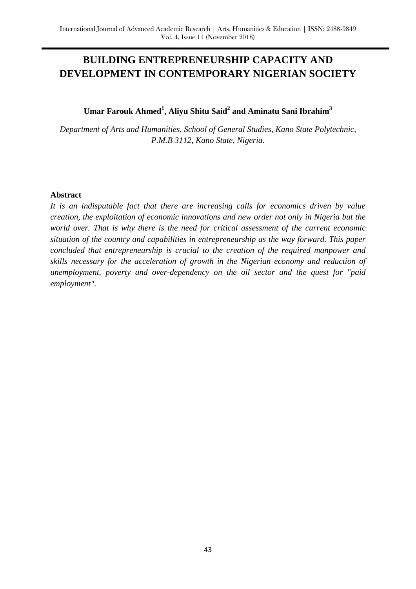# **BUILDING ENTREPRENEURSHIP CAPACITY AND DEVELOPMENT IN CONTEMPORARY NIGERIAN SOCIETY**

## **Umar Farouk Ahmed<sup>1</sup> , Aliyu Shitu Said<sup>2</sup> and Aminatu Sani Ibrahim<sup>3</sup>**

*Department of Arts and Humanities, School of General Studies, Kano State Polytechnic, P.M.B 3112, Kano State, Nigeria.*

#### **Abstract**

*It is an indisputable fact that there are increasing calls for economics driven by value creation, the exploitation of economic innovations and new order not only in Nigeria but the world over. That is why there is the need for critical assessment of the current economic situation of the country and capabilities in entrepreneurship as the way forward. This paper concluded that entrepreneurship is crucial to the creation of the required manpower and skills necessary for the acceleration of growth in the Nigerian economy and reduction of unemployment, poverty and over-dependency on the oil sector and the quest for "paid employment".*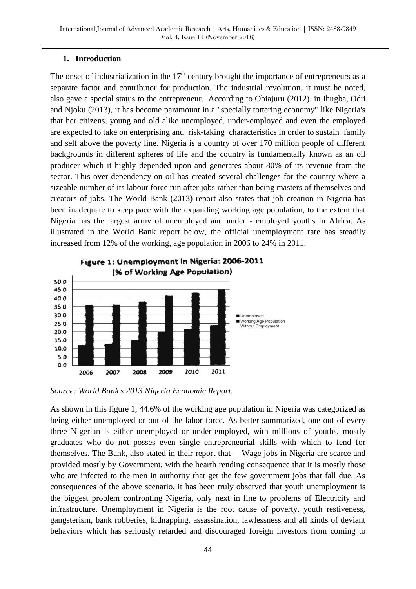#### **1. Introduction**

The onset of industrialization in the  $17<sup>th</sup>$  century brought the importance of entrepreneurs as a separate factor and contributor for production. The industrial revolution, it must be noted, also gave a special status to the entrepreneur. According to Obiajuru (2012), in Ihugba, Odii and Njoku (2013), it has become paramount in a "specially tottering economy" like Nigeria's that her citizens, young and old alike unemployed, under-employed and even the employed are expected to take on enterprising and risk-taking characteristics in order to sustain family and self above the poverty line. Nigeria is a country of over 170 million people of different backgrounds in different spheres of life and the country is fundamentally known as an oil producer which it highly depended upon and generates about 80% of its revenue from the sector. This over dependency on oil has created several challenges for the country where a sizeable number of its labour force run after jobs rather than being masters of themselves and creators of jobs. The World Bank (2013) report also states that job creation in Nigeria has been inadequate to keep pace with the expanding working age population, to the extent that Nigeria has the largest army of unemployed and under - employed youths in Africa. As illustrated in the World Bank report below, the official unemployment rate has steadily increased from 12% of the working, age population in 2006 to 24% in 2011.



*Source: World Bank's 2013 Nigeria Economic Report.*

As shown in this figure 1, 44.6% of the working age population in Nigeria was categorized as being either unemployed or out of the labor force. As better summarized, one out of every three Nigerian is either unemployed or under-employed, with millions of youths, mostly graduates who do not posses even single entrepreneurial skills with which to fend for themselves. The Bank, also stated in their report that —Wage jobs in Nigeria are scarce and provided mostly by Government, with the hearth rending consequence that it is mostly those who are infected to the men in authority that get the few government jobs that fall due. As consequences of the above scenario, it has been truly observed that youth unemployment is the biggest problem confronting Nigeria, only next in line to problems of Electricity and infrastructure. Unemployment in Nigeria is the root cause of poverty, youth restiveness, gangsterism, bank robberies, kidnapping, assassination, lawlessness and all kinds of deviant behaviors which has seriously retarded and discouraged foreign investors from coming to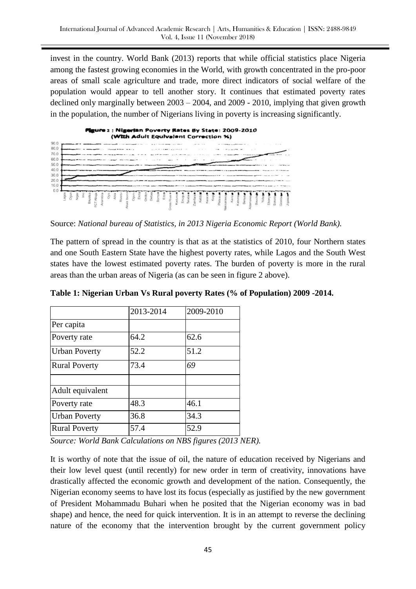invest in the country. World Bank (2013) reports that while official statistics place Nigeria among the fastest growing economies in the World, with growth concentrated in the pro-poor areas of small scale agriculture and trade, more direct indicators of social welfare of the population would appear to tell another story. It continues that estimated poverty rates declined only marginally between 2003 – 2004, and 2009 - 2010, implying that given growth in the population, the number of Nigerians living in poverty is increasing significantly.



Source: *National bureau of Statistics, in 2013 Nigeria Economic Report (World Bank).*

The pattern of spread in the country is that as at the statistics of 2010, four Northern states and one South Eastern State have the highest poverty rates, while Lagos and the South West states have the lowest estimated poverty rates. The burden of poverty is more in the rural areas than the urban areas of Nigeria (as can be seen in figure 2 above).

|                      | 2013-2014 | 2009-2010 |
|----------------------|-----------|-----------|
| Per capita           |           |           |
| Poverty rate         | 64.2      | 62.6      |
| <b>Urban Poverty</b> | 52.2      | 51.2      |
| <b>Rural Poverty</b> | 73.4      | 69        |
| Adult equivalent     |           |           |
| Poverty rate         | 48.3      | 46.1      |
| <b>Urban Poverty</b> | 36.8      | 34.3      |
| <b>Rural Poverty</b> | 57.4      | 52.9      |

**Table 1: Nigerian Urban Vs Rural poverty Rates (% of Population) 2009 -2014.**

*Source: World Bank Calculations on NBS figures (2013 NER).*

It is worthy of note that the issue of oil, the nature of education received by Nigerians and their low level quest (until recently) for new order in term of creativity, innovations have drastically affected the economic growth and development of the nation. Consequently, the Nigerian economy seems to have lost its focus (especially as justified by the new government of President Mohammadu Buhari when he posited that the Nigerian economy was in bad shape) and hence, the need for quick intervention. It is in an attempt to reverse the declining nature of the economy that the intervention brought by the current government policy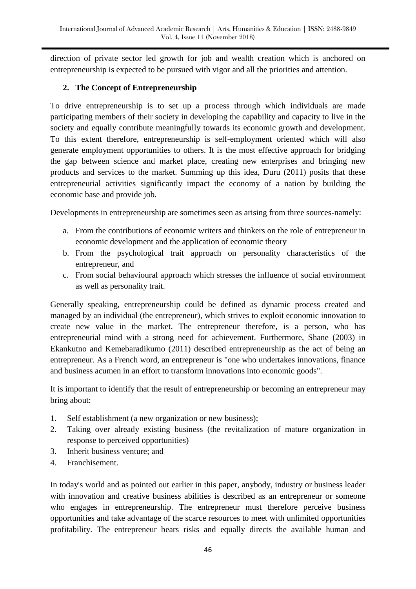direction of private sector led growth for job and wealth creation which is anchored on entrepreneurship is expected to be pursued with vigor and all the priorities and attention.

### **2. The Concept of Entrepreneurship**

To drive entrepreneurship is to set up a process through which individuals are made participating members of their society in developing the capability and capacity to live in the society and equally contribute meaningfully towards its economic growth and development. To this extent therefore, entrepreneurship is self-employment oriented which will also generate employment opportunities to others. It is the most effective approach for bridging the gap between science and market place, creating new enterprises and bringing new products and services to the market. Summing up this idea, Duru (2011) posits that these entrepreneurial activities significantly impact the economy of a nation by building the economic base and provide job.

Developments in entrepreneurship are sometimes seen as arising from three sources-namely:

- a. From the contributions of economic writers and thinkers on the role of entrepreneur in economic development and the application of economic theory
- b. From the psychological trait approach on personality characteristics of the entrepreneur, and
- c. From social behavioural approach which stresses the influence of social environment as well as personality trait.

Generally speaking, entrepreneurship could be defined as dynamic process created and managed by an individual (the entrepreneur), which strives to exploit economic innovation to create new value in the market. The entrepreneur therefore, is a person, who has entrepreneurial mind with a strong need for achievement. Furthermore, Shane (2003) in Ekankutno and Kemebaradikumo (2011) described entrepreneurship as the act of being an entrepreneur. As a French word, an entrepreneur is "one who undertakes innovations, finance and business acumen in an effort to transform innovations into economic goods".

It is important to identify that the result of entrepreneurship or becoming an entrepreneur may bring about:

- 1. Self establishment (a new organization or new business);
- 2. Taking over already existing business (the revitalization of mature organization in response to perceived opportunities)
- 3. Inherit business venture; and
- 4. Franchisement.

In today's world and as pointed out earlier in this paper, anybody, industry or business leader with innovation and creative business abilities is described as an entrepreneur or someone who engages in entrepreneurship. The entrepreneur must therefore perceive business opportunities and take advantage of the scarce resources to meet with unlimited opportunities profitability. The entrepreneur bears risks and equally directs the available human and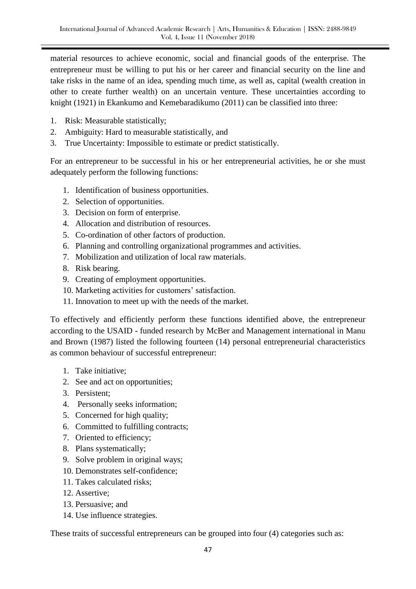material resources to achieve economic, social and financial goods of the enterprise. The entrepreneur must be willing to put his or her career and financial security on the line and take risks in the name of an idea, spending much time, as well as, capital (wealth creation in other to create further wealth) on an uncertain venture. These uncertainties according to knight (1921) in Ekankumo and Kemebaradikumo (2011) can be classified into three:

- 1. Risk: Measurable statistically;
- 2. Ambiguity: Hard to measurable statistically, and
- 3. True Uncertainty: Impossible to estimate or predict statistically.

For an entrepreneur to be successful in his or her entrepreneurial activities, he or she must adequately perform the following functions:

- 1. Identification of business opportunities.
- 2. Selection of opportunities.
- 3. Decision on form of enterprise.
- 4. Allocation and distribution of resources.
- 5. Co-ordination of other factors of production.
- 6. Planning and controlling organizational programmes and activities.
- 7. Mobilization and utilization of local raw materials.
- 8. Risk bearing.
- 9. Creating of employment opportunities.
- 10. Marketing activities for customers' satisfaction.
- 11. Innovation to meet up with the needs of the market.

To effectively and efficiently perform these functions identified above, the entrepreneur according to the USAID - funded research by McBer and Management international in Manu and Brown (1987) listed the following fourteen (14) personal entrepreneurial characteristics as common behaviour of successful entrepreneur:

- 1. Take initiative;
- 2. See and act on opportunities;
- 3. Persistent;
- 4. Personally seeks information;
- 5. Concerned for high quality;
- 6. Committed to fulfilling contracts;
- 7. Oriented to efficiency;
- 8. Plans systematically;
- 9. Solve problem in original ways;
- 10. Demonstrates self-confidence;
- 11. Takes calculated risks;
- 12. Assertive;
- 13. Persuasive; and
- 14. Use influence strategies.

These traits of successful entrepreneurs can be grouped into four (4) categories such as: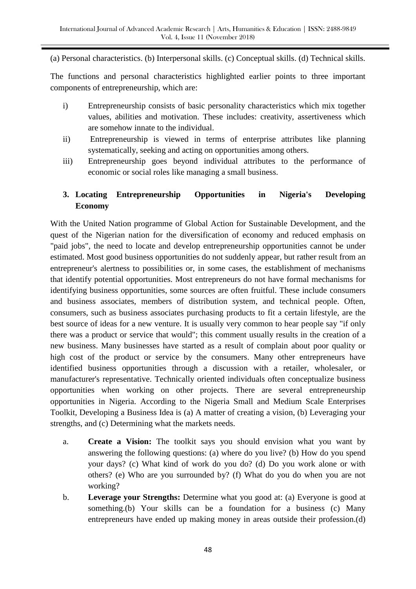(a) Personal characteristics. (b) Interpersonal skills. (c) Conceptual skills. (d) Technical skills.

The functions and personal characteristics highlighted earlier points to three important components of entrepreneurship, which are:

- i) Entrepreneurship consists of basic personality characteristics which mix together values, abilities and motivation. These includes: creativity, assertiveness which are somehow innate to the individual.
- ii) Entrepreneurship is viewed in terms of enterprise attributes like planning systematically, seeking and acting on opportunities among others.
- iii) Entrepreneurship goes beyond individual attributes to the performance of economic or social roles like managing a small business.

# **3. Locating Entrepreneurship Opportunities in Nigeria's Developing Economy**

With the United Nation programme of Global Action for Sustainable Development, and the quest of the Nigerian nation for the diversification of economy and reduced emphasis on "paid jobs", the need to locate and develop entrepreneurship opportunities cannot be under estimated. Most good business opportunities do not suddenly appear, but rather result from an entrepreneur's alertness to possibilities or, in some cases, the establishment of mechanisms that identify potential opportunities. Most entrepreneurs do not have formal mechanisms for identifying business opportunities, some sources are often fruitful. These include consumers and business associates, members of distribution system, and technical people. Often, consumers, such as business associates purchasing products to fit a certain lifestyle, are the best source of ideas for a new venture. It is usually very common to hear people say "if only there was a product or service that would"; this comment usually results in the creation of a new business. Many businesses have started as a result of complain about poor quality or high cost of the product or service by the consumers. Many other entrepreneurs have identified business opportunities through a discussion with a retailer, wholesaler, or manufacturer's representative. Technically oriented individuals often conceptualize business opportunities when working on other projects. There are several entrepreneurship opportunities in Nigeria. According to the Nigeria Small and Medium Scale Enterprises Toolkit, Developing a Business Idea is (a) A matter of creating a vision, (b) Leveraging your strengths, and (c) Determining what the markets needs.

- a. **Create a Vision:** The toolkit says you should envision what you want by answering the following questions: (a) where do you live? (b) How do you spend your days? (c) What kind of work do you do? (d) Do you work alone or with others? (e) Who are you surrounded by? (f) What do you do when you are not working?
- b. **Leverage your Strengths:** Determine what you good at: (a) Everyone is good at something.(b) Your skills can be a foundation for a business (c) Many entrepreneurs have ended up making money in areas outside their profession.(d)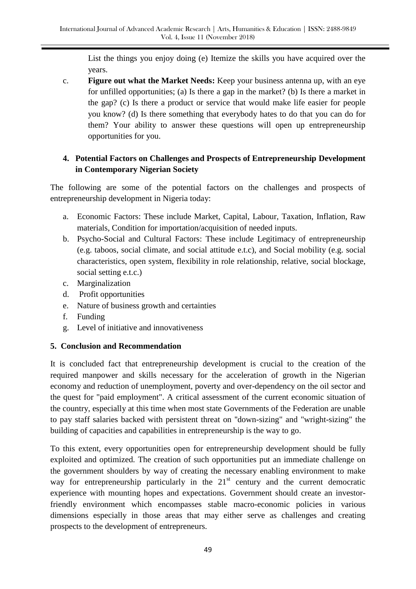List the things you enjoy doing (e) Itemize the skills you have acquired over the years.

c. **Figure out what the Market Needs:** Keep your business antenna up, with an eye for unfilled opportunities; (a) Is there a gap in the market? (b) Is there a market in the gap? (c) Is there a product or service that would make life easier for people you know? (d) Is there something that everybody hates to do that you can do for them? Your ability to answer these questions will open up entrepreneurship opportunities for you.

# **4. Potential Factors on Challenges and Prospects of Entrepreneurship Development in Contemporary Nigerian Society**

The following are some of the potential factors on the challenges and prospects of entrepreneurship development in Nigeria today:

- a. Economic Factors: These include Market, Capital, Labour, Taxation, Inflation, Raw materials, Condition for importation/acquisition of needed inputs.
- b. Psycho-Social and Cultural Factors: These include Legitimacy of entrepreneurship (e.g. taboos, social climate, and social attitude e.t.c), and Social mobility (e.g. social characteristics, open system, flexibility in role relationship, relative, social blockage, social setting e.t.c.)
- c. Marginalization
- d. Profit opportunities
- e. Nature of business growth and certainties
- f. Funding
- g. Level of initiative and innovativeness

## **5. Conclusion and Recommendation**

It is concluded fact that entrepreneurship development is crucial to the creation of the required manpower and skills necessary for the acceleration of growth in the Nigerian economy and reduction of unemployment, poverty and over-dependency on the oil sector and the quest for "paid employment". A critical assessment of the current economic situation of the country, especially at this time when most state Governments of the Federation are unable to pay staff salaries backed with persistent threat on ''down-sizing" and "wright-sizing" the building of capacities and capabilities in entrepreneurship is the way to go.

To this extent, every opportunities open for entrepreneurship development should be fully exploited and optimized. The creation of such opportunities put an immediate challenge on the government shoulders by way of creating the necessary enabling environment to make way for entrepreneurship particularly in the  $21<sup>st</sup>$  century and the current democratic experience with mounting hopes and expectations. Government should create an investorfriendly environment which encompasses stable macro-economic policies in various dimensions especially in those areas that may either serve as challenges and creating prospects to the development of entrepreneurs.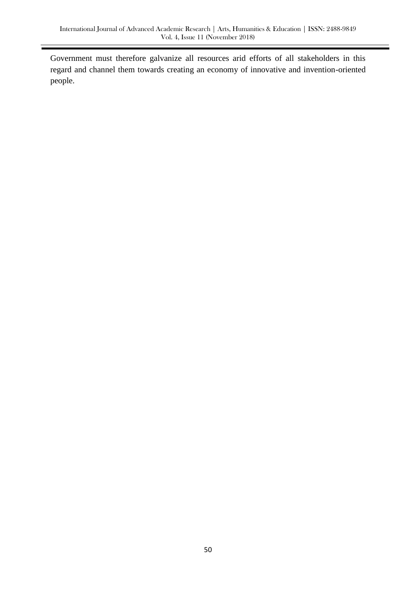Government must therefore galvanize all resources arid efforts of all stakeholders in this regard and channel them towards creating an economy of innovative and invention-oriented people.